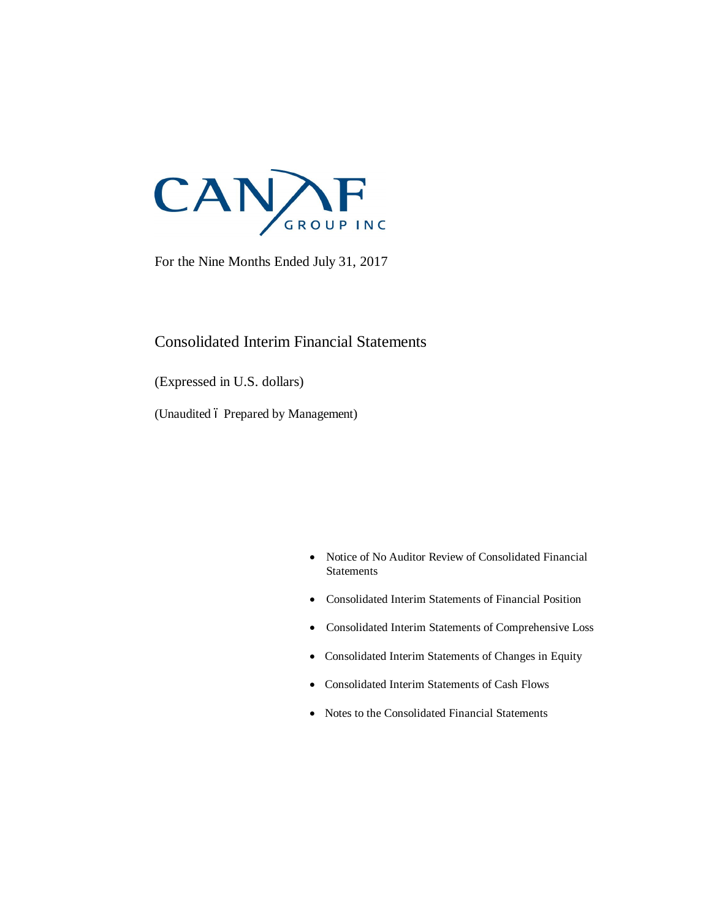

For the Nine Months Ended July 31, 2017

# Consolidated Interim Financial Statements

(Expressed in U.S. dollars)

(Unaudited 6 Prepared by Management)

- · Notice of No Auditor Review of Consolidated Financial **Statements**
- · Consolidated Interim Statements of Financial Position
- · Consolidated Interim Statements of Comprehensive Loss
- · Consolidated Interim Statements of Changes in Equity
- · Consolidated Interim Statements of Cash Flows
- · Notes to the Consolidated Financial Statements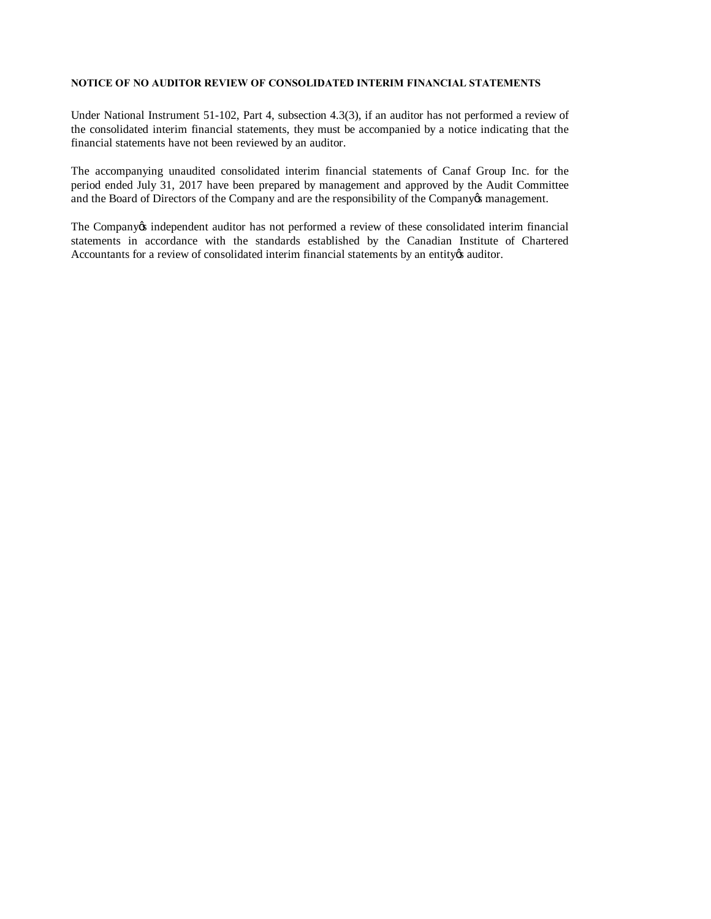#### **NOTICE OF NO AUDITOR REVIEW OF CONSOLIDATED INTERIM FINANCIAL STATEMENTS**

Under National Instrument 51-102, Part 4, subsection 4.3(3), if an auditor has not performed a review of the consolidated interim financial statements, they must be accompanied by a notice indicating that the financial statements have not been reviewed by an auditor.

The accompanying unaudited consolidated interim financial statements of Canaf Group Inc. for the period ended July 31, 2017 have been prepared by management and approved by the Audit Committee and the Board of Directors of the Company and are the responsibility of the Company & management.

The Company independent auditor has not performed a review of these consolidated interim financial statements in accordance with the standards established by the Canadian Institute of Chartered Accountants for a review of consolidated interim financial statements by an entity & auditor.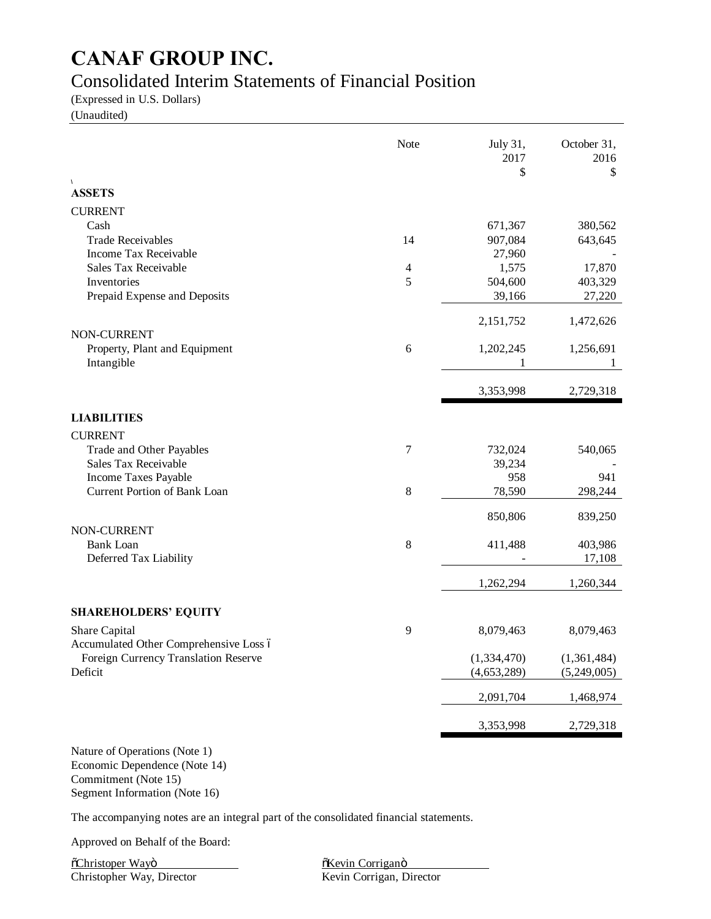# Consolidated Interim Statements of Financial Position

(Expressed in U.S. Dollars)

(Unaudited)

|                                        | Note    | July 31,<br>2017<br>\$ | October 31,<br>2016<br>\$ |
|----------------------------------------|---------|------------------------|---------------------------|
| V<br><b>ASSETS</b>                     |         |                        |                           |
| <b>CURRENT</b>                         |         |                        |                           |
| Cash                                   |         | 671,367                | 380,562                   |
| <b>Trade Receivables</b>               | 14      | 907,084                | 643,645                   |
| Income Tax Receivable                  |         | 27,960                 |                           |
| Sales Tax Receivable                   | 4       | 1,575                  | 17,870                    |
| Inventories                            | 5       | 504,600                | 403,329                   |
| Prepaid Expense and Deposits           |         | 39,166                 | 27,220                    |
|                                        |         | 2,151,752              | 1,472,626                 |
| NON-CURRENT                            |         |                        |                           |
| Property, Plant and Equipment          | 6       | 1,202,245              | 1,256,691                 |
| Intangible                             |         | 1                      | $\perp$                   |
|                                        |         | 3,353,998              | 2,729,318                 |
| <b>LIABILITIES</b>                     |         |                        |                           |
| <b>CURRENT</b>                         |         |                        |                           |
| Trade and Other Payables               | 7       | 732,024                | 540,065                   |
| Sales Tax Receivable                   |         | 39,234                 |                           |
| Income Taxes Payable                   |         | 958                    | 941                       |
| Current Portion of Bank Loan           | $\,8\,$ | 78,590                 | 298,244                   |
|                                        |         | 850,806                | 839,250                   |
| NON-CURRENT<br><b>Bank Loan</b>        | $8\,$   | 411,488                | 403,986                   |
| Deferred Tax Liability                 |         |                        | 17,108                    |
|                                        |         | 1,262,294              | 1,260,344                 |
| <b>SHAREHOLDERS' EQUITY</b>            |         |                        |                           |
| Share Capital                          | 9       | 8,079,463              | 8,079,463                 |
| Accumulated Other Comprehensive Loss ó |         |                        |                           |
| Foreign Currency Translation Reserve   |         | (1, 334, 470)          | (1,361,484)               |
| Deficit                                |         | (4,653,289)            | (5,249,005)               |
|                                        |         | 2,091,704              | 1,468,974                 |
|                                        |         | 3,353,998              | 2,729,318                 |
|                                        |         |                        |                           |

Nature of Operations (Note 1) Economic Dependence (Note 14) Commitment (Note 15)

Segment Information (Note 16)

The accompanying notes are an integral part of the consolidated financial statements.

Approved on Behalf of the Board:

<u> "The Termin Corrigant"</u> "Kevin Corrigant" ("Kevin Corrigant" "Kevin Corrigant" "Kevin Corrigant" "Kevin Corrigant" "Kevin Corrigant" "Kevin Corrigant" "Kevin Corrigant" "Kevin Corrigant" "Kevin Corrigant" "Kevin Corrigan Christopher Way, Director Kevin Corrigan, Director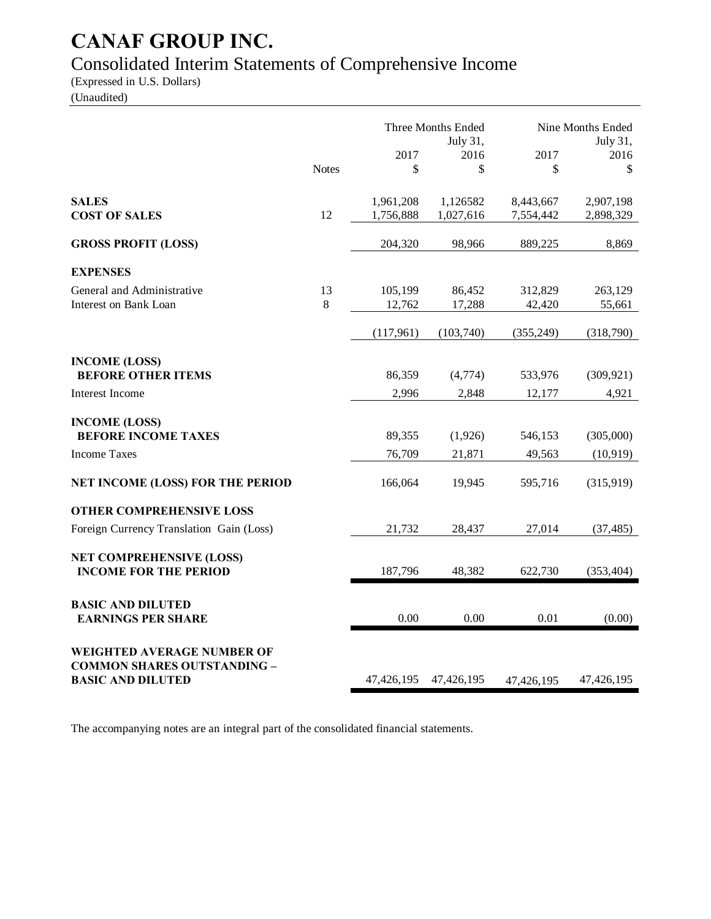# Consolidated Interim Statements of Comprehensive Income

(Expressed in U.S. Dollars)

(Unaudited)

|                                                                  |              | Three Months Ended<br>July 31, |            | Nine Months Ended<br>July 31, |            |
|------------------------------------------------------------------|--------------|--------------------------------|------------|-------------------------------|------------|
|                                                                  |              | 2017                           | 2016       | 2017                          | 2016       |
|                                                                  | <b>Notes</b> | \$                             | \$         | \$                            | \$         |
| <b>SALES</b>                                                     |              | 1,961,208                      | 1,126582   | 8,443,667                     | 2,907,198  |
| <b>COST OF SALES</b>                                             | 12           | 1,756,888                      | 1,027,616  | 7,554,442                     | 2,898,329  |
| <b>GROSS PROFIT (LOSS)</b>                                       |              | 204,320                        | 98,966     | 889,225                       | 8,869      |
| <b>EXPENSES</b>                                                  |              |                                |            |                               |            |
| General and Administrative                                       | 13           | 105,199                        | 86,452     | 312,829                       | 263,129    |
| <b>Interest on Bank Loan</b>                                     | 8            | 12,762                         | 17,288     | 42,420                        | 55,661     |
|                                                                  |              | (117,961)                      | (103,740)  | (355, 249)                    | (318,790)  |
| <b>INCOME (LOSS)</b>                                             |              |                                |            |                               |            |
| <b>BEFORE OTHER ITEMS</b>                                        |              | 86,359                         | (4,774)    | 533,976                       | (309, 921) |
| <b>Interest Income</b>                                           |              | 2,996                          | 2,848      | 12,177                        | 4,921      |
|                                                                  |              |                                |            |                               |            |
| <b>INCOME (LOSS)</b><br><b>BEFORE INCOME TAXES</b>               |              | 89,355                         | (1,926)    | 546,153                       | (305,000)  |
| <b>Income Taxes</b>                                              |              | 76,709                         | 21,871     | 49,563                        | (10, 919)  |
|                                                                  |              |                                |            |                               |            |
| <b>NET INCOME (LOSS) FOR THE PERIOD</b>                          |              | 166,064                        | 19,945     | 595,716                       | (315,919)  |
| <b>OTHER COMPREHENSIVE LOSS</b>                                  |              |                                |            |                               |            |
| Foreign Currency Translation Gain (Loss)                         |              | 21,732                         | 28,437     | 27,014                        | (37, 485)  |
| <b>NET COMPREHENSIVE (LOSS)</b><br><b>INCOME FOR THE PERIOD</b>  |              | 187,796                        | 48,382     | 622,730                       | (353, 404) |
|                                                                  |              |                                |            |                               |            |
| <b>BASIC AND DILUTED</b>                                         |              |                                |            |                               |            |
| <b>EARNINGS PER SHARE</b>                                        |              | 0.00                           | 0.00       | 0.01                          | (0.00)     |
|                                                                  |              |                                |            |                               |            |
| WEIGHTED AVERAGE NUMBER OF<br><b>COMMON SHARES OUTSTANDING -</b> |              |                                |            |                               |            |
| <b>BASIC AND DILUTED</b>                                         |              | 47,426,195                     | 47,426,195 | 47,426,195                    | 47,426,195 |

The accompanying notes are an integral part of the consolidated financial statements.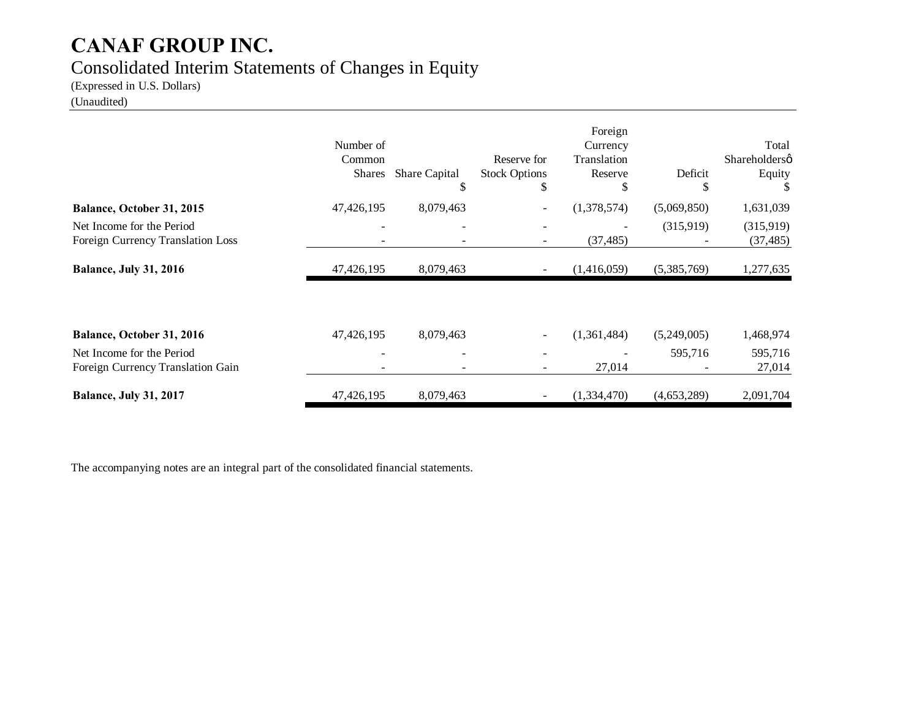# Consolidated Interim Statements of Changes in Equity

(Expressed in U.S. Dollars)

# (Unaudited)

|                                                                | Number of<br>Common<br><b>Shares</b> | <b>Share Capital</b><br>\$ | Reserve for<br><b>Stock Options</b><br>\$ | Foreign<br>Currency<br>Translation<br>Reserve<br>\$ | Deficit<br>J | Total<br>Shareholdersø<br>Equity |
|----------------------------------------------------------------|--------------------------------------|----------------------------|-------------------------------------------|-----------------------------------------------------|--------------|----------------------------------|
| Balance, October 31, 2015                                      | 47,426,195                           | 8,079,463                  |                                           | (1,378,574)                                         | (5,069,850)  | 1,631,039                        |
| Net Income for the Period<br>Foreign Currency Translation Loss |                                      |                            |                                           | (37, 485)                                           | (315,919)    | (315,919)<br>(37, 485)           |
| <b>Balance, July 31, 2016</b>                                  | 47,426,195                           | 8,079,463                  |                                           | (1,416,059)                                         | (5,385,769)  | 1,277,635                        |
| Balance, October 31, 2016                                      | 47,426,195                           | 8,079,463                  |                                           | (1,361,484)                                         | (5,249,005)  | 1,468,974                        |
| Net Income for the Period<br>Foreign Currency Translation Gain |                                      |                            |                                           | 27,014                                              | 595,716      | 595,716<br>27,014                |
| <b>Balance, July 31, 2017</b>                                  | 47,426,195                           | 8,079,463                  |                                           | (1,334,470)                                         | (4,653,289)  | 2,091,704                        |

The accompanying notes are an integral part of the consolidated financial statements.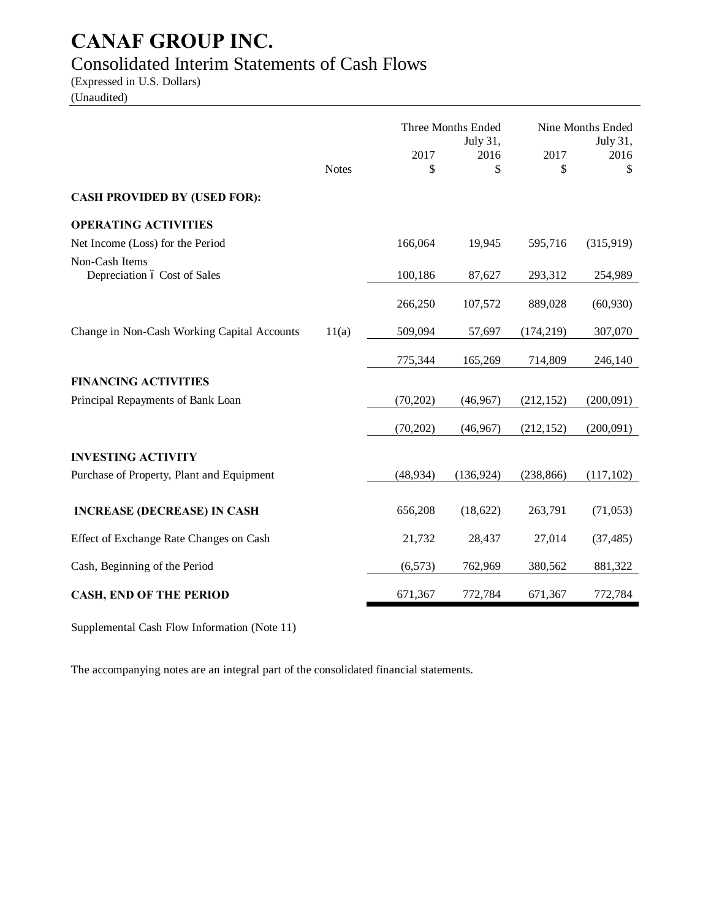# Consolidated Interim Statements of Cash Flows

(Expressed in U.S. Dollars) (Unaudited)

|                                             |              | Three Months Ended |                  | Nine Months Ended |                  |
|---------------------------------------------|--------------|--------------------|------------------|-------------------|------------------|
|                                             |              | 2017               | July 31,<br>2016 | 2017              | July 31,<br>2016 |
|                                             | <b>Notes</b> | \$                 | \$               | \$                | \$               |
| <b>CASH PROVIDED BY (USED FOR):</b>         |              |                    |                  |                   |                  |
| <b>OPERATING ACTIVITIES</b>                 |              |                    |                  |                   |                  |
| Net Income (Loss) for the Period            |              | 166,064            | 19,945           | 595,716           | (315,919)        |
| Non-Cash Items                              |              |                    |                  |                   |                  |
| Depreciation ó Cost of Sales                |              | 100,186            | 87,627           | 293,312           | 254,989          |
|                                             |              | 266,250            | 107,572          | 889,028           | (60, 930)        |
| Change in Non-Cash Working Capital Accounts | 11(a)        | 509,094            | 57,697           | (174, 219)        | 307,070          |
|                                             |              | 775,344            | 165,269          | 714,809           | 246,140          |
| <b>FINANCING ACTIVITIES</b>                 |              |                    |                  |                   |                  |
| Principal Repayments of Bank Loan           |              | (70, 202)          | (46,967)         | (212, 152)        | (200,091)        |
|                                             |              | (70, 202)          | (46,967)         | (212, 152)        | (200,091)        |
| <b>INVESTING ACTIVITY</b>                   |              |                    |                  |                   |                  |
| Purchase of Property, Plant and Equipment   |              | (48, 934)          | (136, 924)       | (238, 866)        | (117, 102)       |
|                                             |              |                    |                  |                   |                  |
| <b>INCREASE (DECREASE) IN CASH</b>          |              | 656,208            | (18,622)         | 263,791           | (71,053)         |
| Effect of Exchange Rate Changes on Cash     |              | 21,732             | 28,437           | 27,014            | (37, 485)        |
| Cash, Beginning of the Period               |              | (6, 573)           | 762,969          | 380,562           | 881,322          |
| <b>CASH, END OF THE PERIOD</b>              |              | 671,367            | 772,784          | 671,367           | 772,784          |

Supplemental Cash Flow Information (Note 11)

The accompanying notes are an integral part of the consolidated financial statements.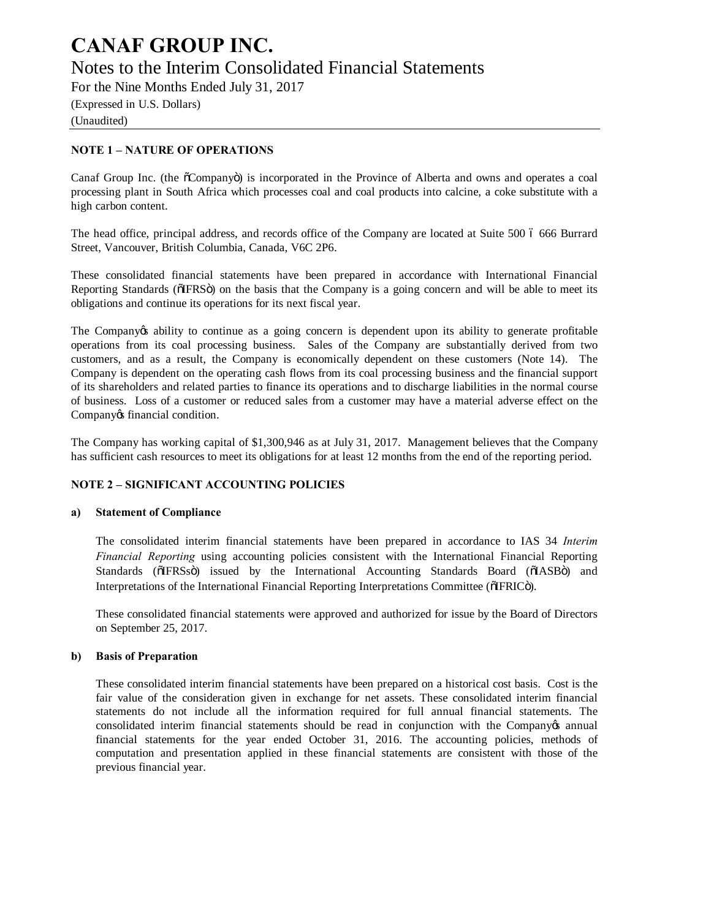Notes to the Interim Consolidated Financial Statements

For the Nine Months Ended July 31, 2017

(Expressed in U.S. Dollars) (Unaudited)

# **NOTE 1 – NATURE OF OPERATIONS**

Canaf Group Inc. (the  $\tilde{o}$ Company $\tilde{o}$ ) is incorporated in the Province of Alberta and owns and operates a coal processing plant in South Africa which processes coal and coal products into calcine, a coke substitute with a high carbon content.

The head office, principal address, and records office of the Company are located at Suite 500 6 666 Burrard Street, Vancouver, British Columbia, Canada, V6C 2P6.

These consolidated financial statements have been prepared in accordance with International Financial Reporting Standards ( $\delta$ IFRS $\ddot{o}$ ) on the basis that the Company is a going concern and will be able to meet its obligations and continue its operations for its next fiscal year.

The Company ts ability to continue as a going concern is dependent upon its ability to generate profitable operations from its coal processing business. Sales of the Company are substantially derived from two customers, and as a result, the Company is economically dependent on these customers (Note 14). The Company is dependent on the operating cash flows from its coal processing business and the financial support of its shareholders and related parties to finance its operations and to discharge liabilities in the normal course of business. Loss of a customer or reduced sales from a customer may have a material adverse effect on the Company os financial condition.

The Company has working capital of \$1,300,946 as at July 31, 2017. Management believes that the Company has sufficient cash resources to meet its obligations for at least 12 months from the end of the reporting period.

# **NOTE 2 – SIGNIFICANT ACCOUNTING POLICIES**

### **a) Statement of Compliance**

The consolidated interim financial statements have been prepared in accordance to IAS 34 *Interim Financial Reporting* using accounting policies consistent with the International Financial Reporting Standards (õIFRSsö) issued by the International Accounting Standards Board (õIASBö) and Interpretations of the International Financial Reporting Interpretations Committee ( $\delta$ IFRIC $\delta$ ).

These consolidated financial statements were approved and authorized for issue by the Board of Directors on September 25, 2017.

### **b) Basis of Preparation**

These consolidated interim financial statements have been prepared on a historical cost basis. Cost is the fair value of the consideration given in exchange for net assets. These consolidated interim financial statements do not include all the information required for full annual financial statements. The consolidated interim financial statements should be read in conjunction with the Company's annual financial statements for the year ended October 31, 2016. The accounting policies, methods of computation and presentation applied in these financial statements are consistent with those of the previous financial year.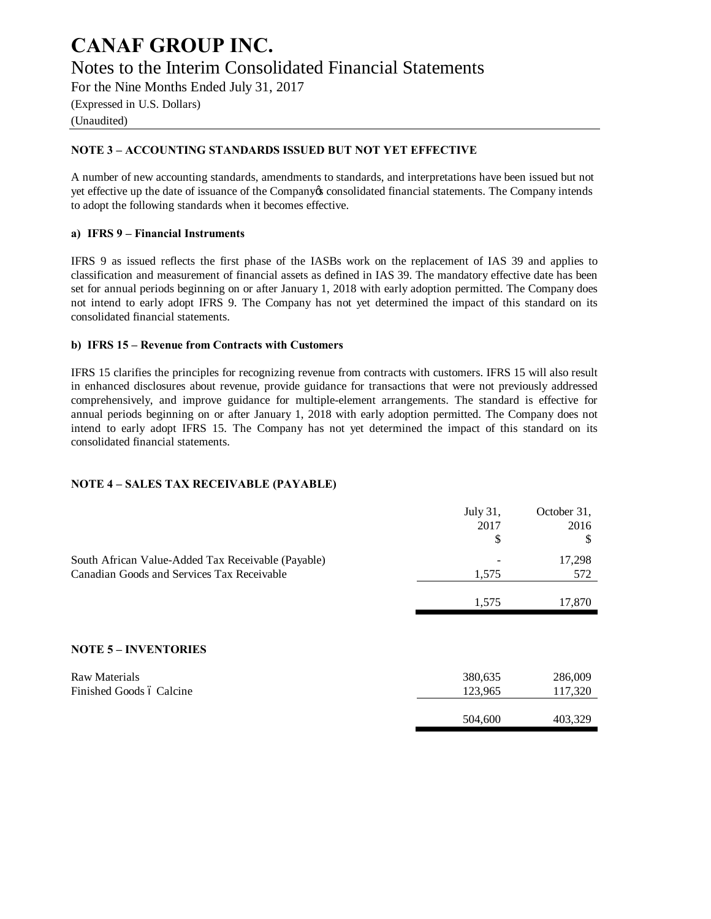# **CANAF GROUP INC.** Notes to the Interim Consolidated Financial Statements

For the Nine Months Ended July 31, 2017

(Expressed in U.S. Dollars) (Unaudited)

# **NOTE 3 – ACCOUNTING STANDARDS ISSUED BUT NOT YET EFFECTIVE**

A number of new accounting standards, amendments to standards, and interpretations have been issued but not yet effective up the date of issuance of the Company's consolidated financial statements. The Company intends to adopt the following standards when it becomes effective.

## **a) IFRS 9 – Financial Instruments**

IFRS 9 as issued reflects the first phase of the IASBs work on the replacement of IAS 39 and applies to classification and measurement of financial assets as defined in IAS 39. The mandatory effective date has been set for annual periods beginning on or after January 1, 2018 with early adoption permitted. The Company does not intend to early adopt IFRS 9. The Company has not yet determined the impact of this standard on its consolidated financial statements.

## **b) IFRS 15 – Revenue from Contracts with Customers**

IFRS 15 clarifies the principles for recognizing revenue from contracts with customers. IFRS 15 will also result in enhanced disclosures about revenue, provide guidance for transactions that were not previously addressed comprehensively, and improve guidance for multiple-element arrangements. The standard is effective for annual periods beginning on or after January 1, 2018 with early adoption permitted. The Company does not intend to early adopt IFRS 15. The Company has not yet determined the impact of this standard on its consolidated financial statements.

# **NOTE 4 – SALES TAX RECEIVABLE (PAYABLE)**

|                                                    | July 31,<br>2017 | October 31,<br>2016 |
|----------------------------------------------------|------------------|---------------------|
|                                                    | \$               | \$                  |
| South African Value-Added Tax Receivable (Payable) |                  | 17,298              |
| Canadian Goods and Services Tax Receivable         | 1,575            | 572                 |
|                                                    | 1,575            | 17,870              |
|                                                    |                  |                     |
| <b>NOTE 5 - INVENTORIES</b>                        |                  |                     |
| <b>Raw Materials</b>                               | 380,635          | 286,009             |
| Finished Goods ó Calcine                           | 123,965          | 117,320             |
|                                                    |                  |                     |
|                                                    | 504,600          | 403,329             |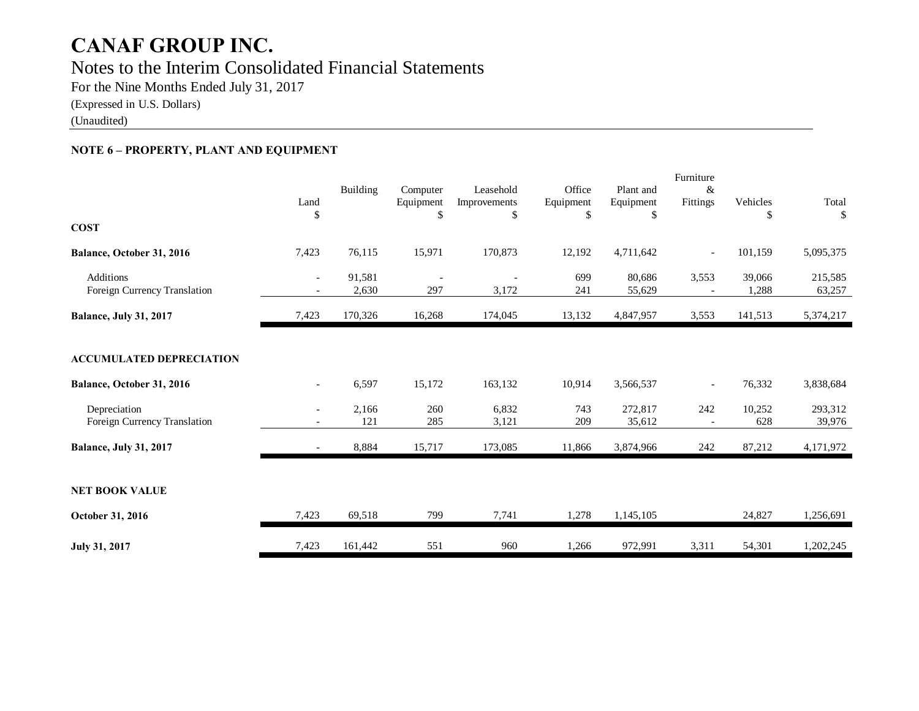# **CANAF GROUP INC.** Notes to the Interim Consolidated Financial Statements

For the Nine Months Ended July 31, 2017

(Expressed in U.S. Dollars)

(Unaudited)

# **NOTE 6 – PROPERTY, PLANT AND EQUIPMENT**

| <b>COST</b>                                                  | Land<br>\$               | Building          | Computer<br>Equipment<br>\$     | Leasehold<br>Improvements<br>\$ | Office<br>Equipment<br>\$ | Plant and<br>Equipment<br>\$ | Furniture<br>&<br>Fittings      | Vehicles<br>\$   | Total<br>\$            |
|--------------------------------------------------------------|--------------------------|-------------------|---------------------------------|---------------------------------|---------------------------|------------------------------|---------------------------------|------------------|------------------------|
| Balance, October 31, 2016                                    | 7,423                    | 76,115            | 15,971                          | 170,873                         | 12,192                    | 4,711,642                    | $\overline{\phantom{0}}$        | 101,159          | 5,095,375              |
| <b>Additions</b><br>Foreign Currency Translation             | $\overline{\phantom{0}}$ | 91,581<br>2,630   | $\overline{\phantom{a}}$<br>297 | 3,172                           | 699<br>241                | 80,686<br>55,629             | 3,553                           | 39,066<br>1,288  | 215,585<br>63,257      |
| <b>Balance, July 31, 2017</b>                                | 7,423                    | 170,326           | 16,268                          | 174,045                         | 13,132                    | 4,847,957                    | 3,553                           | 141,513          | 5,374,217              |
| <b>ACCUMULATED DEPRECIATION</b><br>Balance, October 31, 2016 | $-$                      | 6,597             | 15,172                          | 163,132                         | 10,914                    | 3,566,537                    | $\overline{\phantom{0}}$        | 76,332           | 3,838,684              |
| Depreciation<br>Foreign Currency Translation                 |                          | 2,166<br>121      | 260<br>285                      | 6,832<br>3,121                  | 743<br>209                | 272,817<br>35,612            | 242<br>$\overline{\phantom{a}}$ | 10,252<br>628    | 293,312<br>39,976      |
| <b>Balance, July 31, 2017</b>                                | $ \,$                    | 8,884             | 15,717                          | 173,085                         | 11,866                    | 3,874,966                    | 242                             | 87,212           | 4,171,972              |
| <b>NET BOOK VALUE</b>                                        |                          |                   |                                 |                                 |                           |                              |                                 |                  |                        |
| October 31, 2016<br>July 31, 2017                            | 7,423<br>7,423           | 69,518<br>161,442 | 799<br>551                      | 7,741<br>960                    | 1,278<br>1,266            | 1,145,105<br>972,991         | 3,311                           | 24,827<br>54,301 | 1,256,691<br>1,202,245 |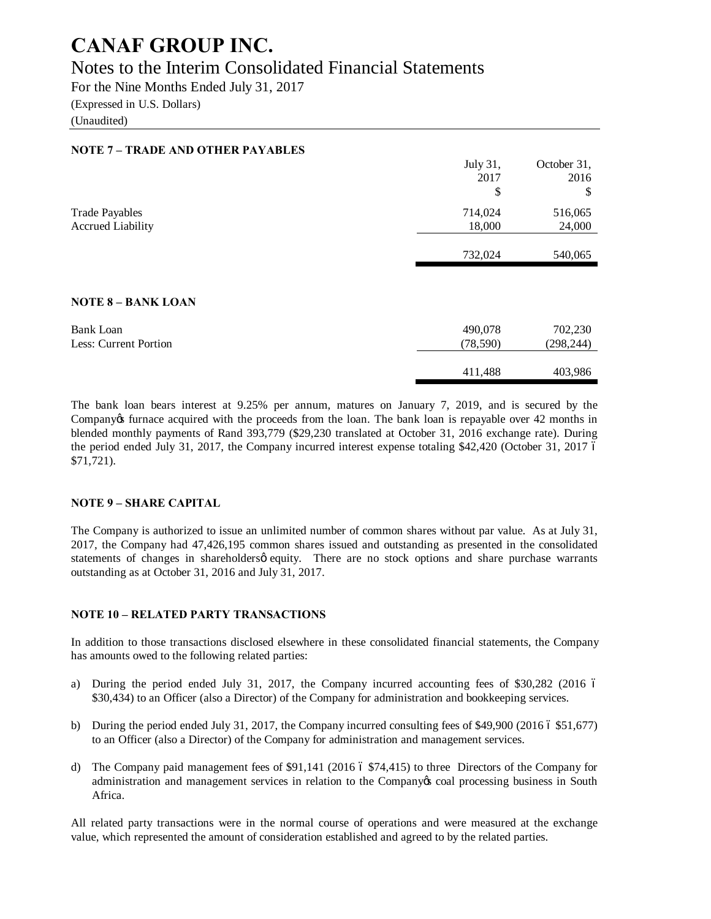# Notes to the Interim Consolidated Financial Statements

For the Nine Months Ended July 31, 2017 (Expressed in U.S. Dollars)

(Unaudited)

# **NOTE 7 – TRADE AND OTHER PAYABLES**

|                          | July 31, | October 31, |
|--------------------------|----------|-------------|
|                          | 2017     | 2016        |
|                          | \$       |             |
| <b>Trade Payables</b>    | 714,024  | 516,065     |
| <b>Accrued Liability</b> | 18,000   | 24,000      |
|                          |          |             |
|                          | 732,024  | 540,065     |

#### **NOTE 8 – BANK LOAN**

| Bank Loan             | 490,078  | 702,230    |
|-----------------------|----------|------------|
| Less: Current Portion | (78,590) | (298, 244) |
|                       | 411.488  | 403,986    |

The bank loan bears interest at 9.25% per annum, matures on January 7, 2019, and is secured by the Company ts furnace acquired with the proceeds from the loan. The bank loan is repayable over 42 months in blended monthly payments of Rand 393,779 (\$29,230 translated at October 31, 2016 exchange rate). During the period ended July 31, 2017, the Company incurred interest expense totaling \$42,420 (October 31, 2017 6) \$71,721).

### **NOTE 9 – SHARE CAPITAL**

The Company is authorized to issue an unlimited number of common shares without par value. As at July 31, 2017, the Company had 47,426,195 common shares issued and outstanding as presented in the consolidated statements of changes in shareholdersø equity. There are no stock options and share purchase warrants outstanding as at October 31, 2016 and July 31, 2017.

### **NOTE 10 – RELATED PARTY TRANSACTIONS**

In addition to those transactions disclosed elsewhere in these consolidated financial statements, the Company has amounts owed to the following related parties:

- a) During the period ended July 31, 2017, the Company incurred accounting fees of  $$30,282$  (2016 6) \$30,434) to an Officer (also a Director) of the Company for administration and bookkeeping services.
- b) During the period ended July 31, 2017, the Company incurred consulting fees of \$49,900 (2016  $6$  \$51,677) to an Officer (also a Director) of the Company for administration and management services.
- d) The Company paid management fees of  $$91,141$  (2016 6  $$74,415$ ) to three Directors of the Company for administration and management services in relation to the Company os coal processing business in South Africa.

All related party transactions were in the normal course of operations and were measured at the exchange value, which represented the amount of consideration established and agreed to by the related parties.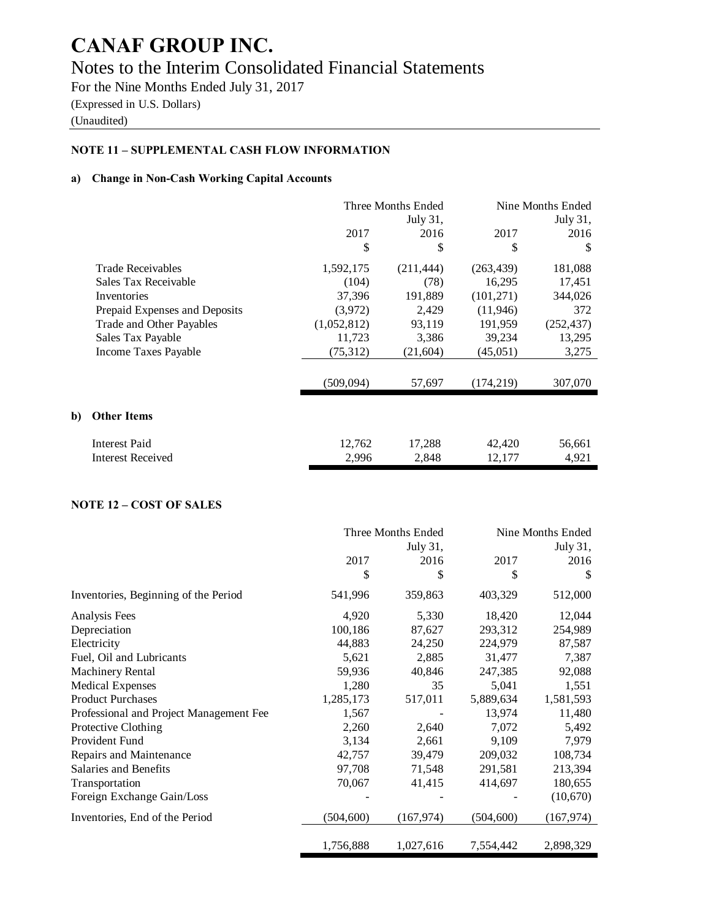# Notes to the Interim Consolidated Financial Statements

For the Nine Months Ended July 31, 2017 (Expressed in U.S. Dollars)

# (Unaudited)

**b**)

# **NOTE 11 – SUPPLEMENTAL CASH FLOW INFORMATION**

#### **a) Change in Non-Cash Working Capital Accounts**

|                               | Three Months Ended<br>July 31, |            | Nine Months Ended<br>July 31, |            |
|-------------------------------|--------------------------------|------------|-------------------------------|------------|
|                               | 2017                           | 2016       | 2017                          | 2016       |
|                               | \$                             | \$         | \$                            | \$         |
| <b>Trade Receivables</b>      | 1,592,175                      | (211, 444) | (263, 439)                    | 181,088    |
| Sales Tax Receivable          | (104)                          | (78)       | 16,295                        | 17,451     |
| Inventories                   | 37,396                         | 191,889    | (101, 271)                    | 344,026    |
| Prepaid Expenses and Deposits | (3,972)                        | 2,429      | (11,946)                      | 372        |
| Trade and Other Payables      | (1,052,812)                    | 93,119     | 191,959                       | (252, 437) |
| Sales Tax Payable             | 11,723                         | 3,386      | 39,234                        | 13,295     |
| Income Taxes Payable          | (75, 312)                      | (21,604)   | (45,051)                      | 3,275      |
|                               | (509,094)                      | 57,697     | (174, 219)                    | 307,070    |
| <b>Other Items</b>            |                                |            |                               |            |
| Interest Paid                 | 12,762                         | 17,288     | 42,420                        | 56,661     |
| Interest Received             | 2,996                          | 2,848      | 12,177                        | 4,921      |

# **NOTE 12 – COST OF SALES**

|                                         | Three Months Ended |            | Nine Months Ended |            |
|-----------------------------------------|--------------------|------------|-------------------|------------|
|                                         |                    | July 31,   |                   | July 31,   |
|                                         | 2017               | 2016       | 2017              | 2016       |
|                                         | \$                 | \$         | \$                | S          |
| Inventories, Beginning of the Period    | 541,996            | 359,863    | 403,329           | 512,000    |
| Analysis Fees                           | 4,920              | 5,330      | 18,420            | 12,044     |
| Depreciation                            | 100,186            | 87,627     | 293,312           | 254,989    |
| Electricity                             | 44,883             | 24,250     | 224,979           | 87,587     |
| Fuel, Oil and Lubricants                | 5,621              | 2,885      | 31,477            | 7,387      |
| <b>Machinery Rental</b>                 | 59,936             | 40,846     | 247,385           | 92,088     |
| <b>Medical Expenses</b>                 | 1,280              | 35         | 5,041             | 1,551      |
| <b>Product Purchases</b>                | 1,285,173          | 517,011    | 5,889,634         | 1,581,593  |
| Professional and Project Management Fee | 1,567              |            | 13,974            | 11,480     |
| Protective Clothing                     | 2,260              | 2,640      | 7,072             | 5,492      |
| Provident Fund                          | 3,134              | 2,661      | 9,109             | 7,979      |
| Repairs and Maintenance                 | 42,757             | 39,479     | 209,032           | 108,734    |
| Salaries and Benefits                   | 97,708             | 71,548     | 291,581           | 213,394    |
| Transportation                          | 70,067             | 41,415     | 414,697           | 180,655    |
| Foreign Exchange Gain/Loss              |                    |            |                   | (10,670)   |
| Inventories, End of the Period          | (504, 600)         | (167, 974) | (504, 600)        | (167, 974) |
|                                         | 1,756,888          | 1,027,616  | 7,554,442         | 2,898,329  |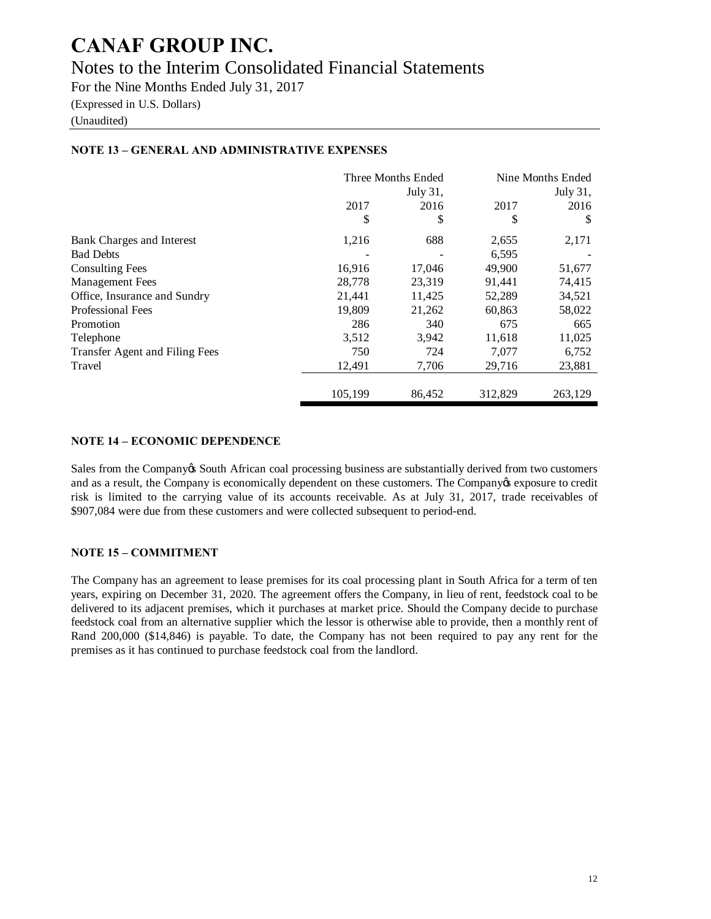# Notes to the Interim Consolidated Financial Statements

For the Nine Months Ended July 31, 2017

(Expressed in U.S. Dollars)

(Unaudited)

|                                |          | Three Months Ended | Nine Months Ended |         |
|--------------------------------|----------|--------------------|-------------------|---------|
|                                | July 31, |                    | July 31,          |         |
|                                | 2017     | 2016               | 2017              | 2016    |
|                                | \$       | \$                 | \$                | -S      |
| Bank Charges and Interest      | 1,216    | 688                | 2,655             | 2,171   |
| <b>Bad Debts</b>               |          |                    | 6,595             |         |
| <b>Consulting Fees</b>         | 16,916   | 17,046             | 49,900            | 51,677  |
| <b>Management</b> Fees         | 28,778   | 23,319             | 91,441            | 74,415  |
| Office, Insurance and Sundry   | 21,441   | 11,425             | 52,289            | 34,521  |
| <b>Professional Fees</b>       | 19,809   | 21,262             | 60,863            | 58,022  |
| Promotion                      | 286      | 340                | 675               | 665     |
| Telephone                      | 3,512    | 3,942              | 11,618            | 11,025  |
| Transfer Agent and Filing Fees | 750      | 724                | 7,077             | 6,752   |
| Travel                         | 12,491   | 7,706              | 29,716            | 23,881  |
|                                | 105,199  | 86,452             | 312,829           | 263,129 |

# **NOTE 13 – GENERAL AND ADMINISTRATIVE EXPENSES**

## **NOTE 14 – ECONOMIC DEPENDENCE**

Sales from the Company is South African coal processing business are substantially derived from two customers and as a result, the Company is economically dependent on these customers. The Company is exposure to credit risk is limited to the carrying value of its accounts receivable. As at July 31, 2017, trade receivables of \$907,084 were due from these customers and were collected subsequent to period-end.

# **NOTE 15 – COMMITMENT**

The Company has an agreement to lease premises for its coal processing plant in South Africa for a term of ten years, expiring on December 31, 2020. The agreement offers the Company, in lieu of rent, feedstock coal to be delivered to its adjacent premises, which it purchases at market price. Should the Company decide to purchase feedstock coal from an alternative supplier which the lessor is otherwise able to provide, then a monthly rent of Rand 200,000 (\$14,846) is payable. To date, the Company has not been required to pay any rent for the premises as it has continued to purchase feedstock coal from the landlord.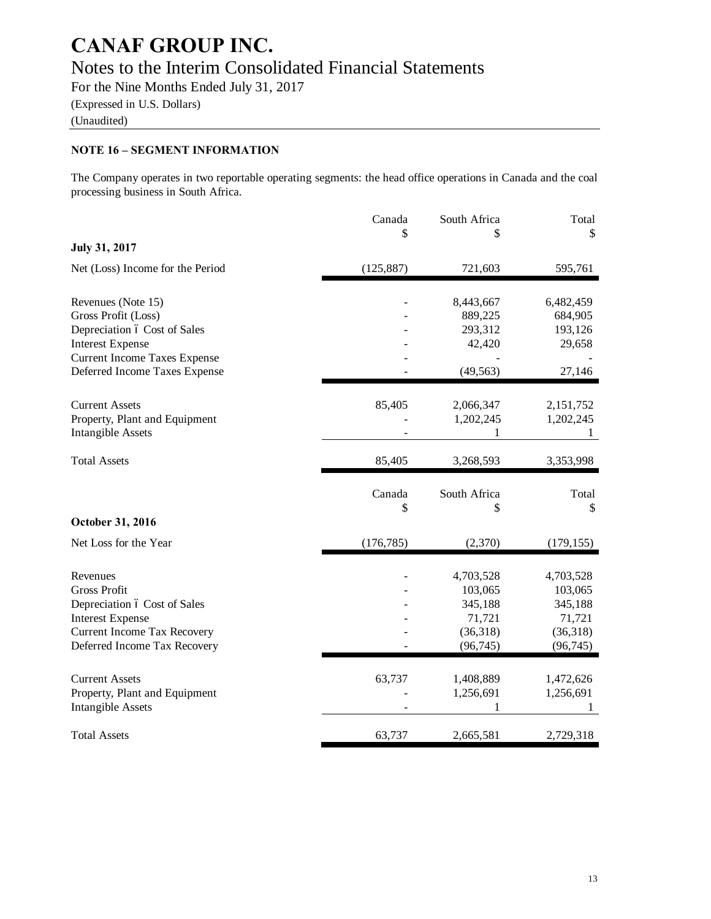# Notes to the Interim Consolidated Financial Statements

For the Nine Months Ended July 31, 2017

(Expressed in U.S. Dollars)

(Unaudited)

# **NOTE 16 – SEGMENT INFORMATION**

The Company operates in two reportable operating segments: the head office operations in Canada and the coal processing business in South Africa.

|                                                                                               | Canada       | South Africa                  | Total                         |
|-----------------------------------------------------------------------------------------------|--------------|-------------------------------|-------------------------------|
| <b>July 31, 2017</b>                                                                          | \$           |                               | \$                            |
| Net (Loss) Income for the Period                                                              | (125, 887)   | 721,603                       | 595,761                       |
| Revenues (Note 15)<br>Gross Profit (Loss)                                                     |              | 8,443,667<br>889,225          | 6,482,459<br>684,905          |
| Depreciation ó Cost of Sales<br><b>Interest Expense</b>                                       |              | 293,312<br>42,420             | 193,126<br>29,658             |
| <b>Current Income Taxes Expense</b><br>Deferred Income Taxes Expense                          |              | (49, 563)                     | 27,146                        |
| <b>Current Assets</b><br>Property, Plant and Equipment<br><b>Intangible Assets</b>            | 85,405       | 2,066,347<br>1,202,245<br>1   | 2,151,752<br>1,202,245<br>1   |
| <b>Total Assets</b>                                                                           | 85,405       | 3,268,593                     | 3,353,998                     |
|                                                                                               | Canada<br>\$ | South Africa<br>\$            | Total<br>\$                   |
| October 31, 2016                                                                              |              |                               |                               |
| Net Loss for the Year                                                                         | (176, 785)   | (2,370)                       | (179, 155)                    |
| Revenues<br><b>Gross Profit</b>                                                               |              | 4,703,528<br>103,065          | 4,703,528<br>103,065          |
| Depreciation ó Cost of Sales<br><b>Interest Expense</b><br><b>Current Income Tax Recovery</b> |              | 345,188<br>71,721<br>(36,318) | 345,188<br>71,721<br>(36,318) |
| Deferred Income Tax Recovery                                                                  |              | (96, 745)                     | (96, 745)                     |
| <b>Current Assets</b>                                                                         | 63,737       | 1,408,889                     | 1,472,626                     |
| Property, Plant and Equipment<br><b>Intangible Assets</b>                                     |              | 1,256,691<br>1                | 1,256,691<br>1                |
| <b>Total Assets</b>                                                                           |              |                               |                               |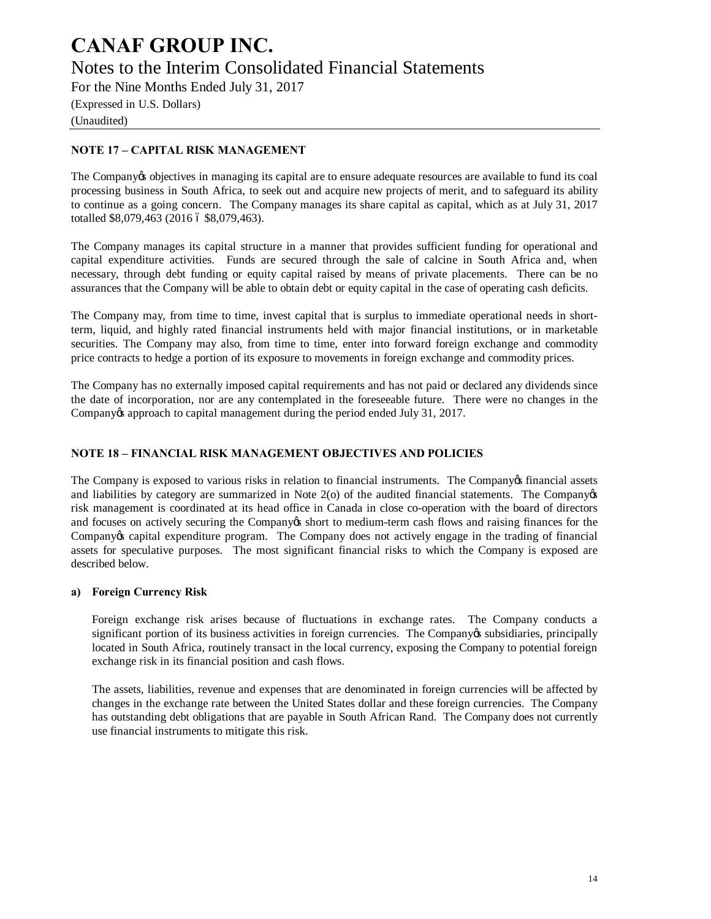# **CANAF GROUP INC.** Notes to the Interim Consolidated Financial Statements

For the Nine Months Ended July 31, 2017

(Expressed in U.S. Dollars) (Unaudited)

# **NOTE 17 – CAPITAL RISK MANAGEMENT**

The Company to objectives in managing its capital are to ensure adequate resources are available to fund its coal processing business in South Africa, to seek out and acquire new projects of merit, and to safeguard its ability to continue as a going concern. The Company manages its share capital as capital, which as at July 31, 2017 totalled \$8,079,463 (2016 6 \$8,079,463).

The Company manages its capital structure in a manner that provides sufficient funding for operational and capital expenditure activities. Funds are secured through the sale of calcine in South Africa and, when necessary, through debt funding or equity capital raised by means of private placements. There can be no assurances that the Company will be able to obtain debt or equity capital in the case of operating cash deficits.

The Company may, from time to time, invest capital that is surplus to immediate operational needs in shortterm, liquid, and highly rated financial instruments held with major financial institutions, or in marketable securities. The Company may also, from time to time, enter into forward foreign exchange and commodity price contracts to hedge a portion of its exposure to movements in foreign exchange and commodity prices.

The Company has no externally imposed capital requirements and has not paid or declared any dividends since the date of incorporation, nor are any contemplated in the foreseeable future. There were no changes in the Company os approach to capital management during the period ended July 31, 2017.

# **NOTE 18 – FINANCIAL RISK MANAGEMENT OBJECTIVES AND POLICIES**

The Company is exposed to various risks in relation to financial instruments. The Company of financial assets and liabilities by category are summarized in Note  $2$ (o) of the audited financial statements. The Company $\alpha$ risk management is coordinated at its head office in Canada in close co-operation with the board of directors and focuses on actively securing the Company is short to medium-term cash flows and raising finances for the Company's capital expenditure program. The Company does not actively engage in the trading of financial assets for speculative purposes. The most significant financial risks to which the Company is exposed are described below.

### **a) Foreign Currency Risk**

Foreign exchange risk arises because of fluctuations in exchange rates. The Company conducts a significant portion of its business activities in foreign currencies. The Company os subsidiaries, principally located in South Africa, routinely transact in the local currency, exposing the Company to potential foreign exchange risk in its financial position and cash flows.

The assets, liabilities, revenue and expenses that are denominated in foreign currencies will be affected by changes in the exchange rate between the United States dollar and these foreign currencies. The Company has outstanding debt obligations that are payable in South African Rand. The Company does not currently use financial instruments to mitigate this risk.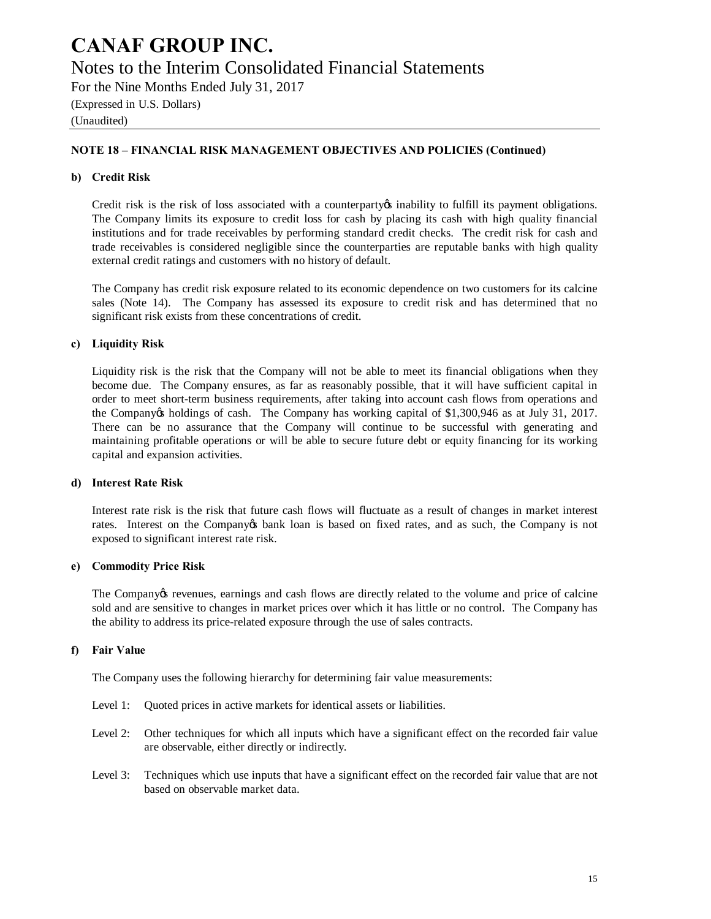# Notes to the Interim Consolidated Financial Statements

For the Nine Months Ended July 31, 2017 (Expressed in U.S. Dollars)

(Unaudited)

## **NOTE 18 – FINANCIAL RISK MANAGEMENT OBJECTIVES AND POLICIES (Continued)**

### **b) Credit Risk**

Credit risk is the risk of loss associated with a counterparty inability to fulfill its payment obligations. The Company limits its exposure to credit loss for cash by placing its cash with high quality financial institutions and for trade receivables by performing standard credit checks. The credit risk for cash and trade receivables is considered negligible since the counterparties are reputable banks with high quality external credit ratings and customers with no history of default.

The Company has credit risk exposure related to its economic dependence on two customers for its calcine sales (Note 14). The Company has assessed its exposure to credit risk and has determined that no significant risk exists from these concentrations of credit.

### **c) Liquidity Risk**

Liquidity risk is the risk that the Company will not be able to meet its financial obligations when they become due. The Company ensures, as far as reasonably possible, that it will have sufficient capital in order to meet short-term business requirements, after taking into account cash flows from operations and the Company is holdings of cash. The Company has working capital of \$1,300,946 as at July 31, 2017. There can be no assurance that the Company will continue to be successful with generating and maintaining profitable operations or will be able to secure future debt or equity financing for its working capital and expansion activities.

#### **d) Interest Rate Risk**

Interest rate risk is the risk that future cash flows will fluctuate as a result of changes in market interest rates. Interest on the Company to bank loan is based on fixed rates, and as such, the Company is not exposed to significant interest rate risk.

#### **e) Commodity Price Risk**

The Company tevenues, earnings and cash flows are directly related to the volume and price of calcine sold and are sensitive to changes in market prices over which it has little or no control. The Company has the ability to address its price-related exposure through the use of sales contracts.

### **f) Fair Value**

The Company uses the following hierarchy for determining fair value measurements:

- Level 1: Quoted prices in active markets for identical assets or liabilities.
- Level 2: Other techniques for which all inputs which have a significant effect on the recorded fair value are observable, either directly or indirectly.
- Level 3: Techniques which use inputs that have a significant effect on the recorded fair value that are not based on observable market data.